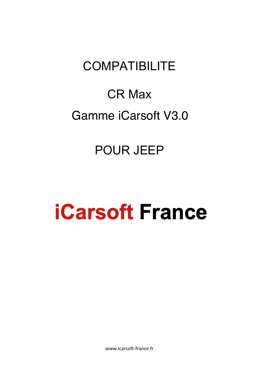# **COMPATIBILITE**

# CR Max Gamme iCarsoft V3.0

## POUR JEEP

# **iCarsoft France**

www.icarsoft-france.fr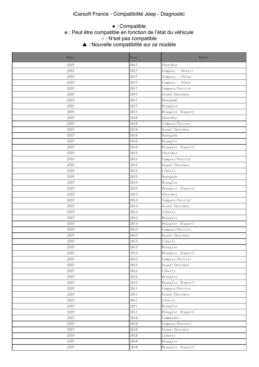## iCarsoft France - Compatibilité Jeep - Diagnostic

#### e This function is supported. The transformation is supported. The  $\ast$  :  $\mathsf{Peut}$  function  $\ast$  $\circ$  in this function may be supported. Which depends on the vehicle of the vehicle. The vehicle of the vehicle. ● : Compatible ※ : Peut être compatible en fonction de l'état du véhicule ○ : N'est pas compatible

△ This function is not supported. The support of  $\blacktriangle$  This function is not supported. The support of  $\blacktriangle$  This function is not support of  $\blacktriangle$ ▲ : Nouvelle compatibilité sur ce modèle

| Make        | Year         | Model             |
|-------------|--------------|-------------------|
| JEEP        | 2017         | Cherokee          |
| JEEP        | 2017         | Compass - Brazil  |
| JEEP        | 2017         | Compass - China   |
| JEEP        | 2017         | Compass - Other   |
| JEEP        | 2017         | Compass/Patriot   |
| JEEP        | 2017         | Grand Cherokee    |
| JEEP        | 2017         | Renegade          |
| JEEP        | 2017         | Wrangler          |
| JEEP        | 2017         | Wrangler (Export) |
| JEEP        | 2016         | Cherokee          |
| JEEP        | 2016         | Compass/Patriot   |
| JEEP        | 2016         | Grand Cherokee    |
| JEEP        | 2016         | Renegade          |
| JEEP        | 2016         | Wrangler          |
| JEEP        | 2016         | Wrangler (Export) |
| JEEP        | 2015         | Cherokee          |
| JEEP        | 2015         | Compass/Patriot   |
| JEEP        | 2015         | Grand Cherokee    |
| JEEP        | 2015         | Liberty           |
| JEEP        | 2015         | Renegade          |
| JEEP        | 2015         | Wrangler          |
| JEEP        | 2015         | Wrangler (Export) |
| JEEP        | 2014         | Cherokee          |
| JEEP        | 2014         | Compass/Patriot   |
| JEEP        | 2014         | Grand Cherokee    |
| JEEP        | 2014         | Liberty           |
| JEEP        | 2014         | Wrangler          |
| JEEP        | 2014         | Wrangler (Export) |
| JEEP        | 2013         | Compass/Patriot   |
| JEEP        | 2013         | Grand Cherokee    |
| JEEP        | 2013         | Liberty           |
| <b>JEEP</b> | 2013         | Wrangler          |
| JEEP        | 2013         | Wrangler (Export) |
| JEEP        | 2012         | Compass/Patriot   |
| JEEP        | $2\,0\,1\,2$ | Grand Cherokee    |
| JEEP        | 2012         | Liberty           |
| JEEP        | 2012         | Wrangler          |
| JEEP        | 2012         | Wrangler (Export) |
| JEEP        | 2011         | Compass/Patriot   |
| JEEP        | 2011         | Grand Cherokee    |
| JEEP        | 2011         | Liberty           |
| JEEP        | 2011         | Wrangler          |
| JEEP        | 2011         | Wrangler (Export) |
| JEEP        | 2010         | Commander         |
| JEEP        | 2010         | Compass/Patriot   |
| JEEP        | 2010         | Grand Cherokee    |
| JEEP        | 2010         | Liberty           |
| JEEP        | 2010         | Wrangler          |
| JEEP        | 2010         | Wrangler (Export) |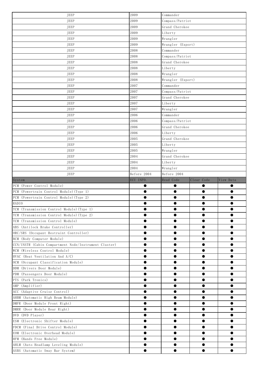| JEEP                                                  | 2009        | Commander             |            |           |
|-------------------------------------------------------|-------------|-----------------------|------------|-----------|
| JEEP                                                  | 2009        | Compass/Patriot       |            |           |
| JEEP                                                  | 2009        | Grand Cherokee        |            |           |
| JEEP                                                  | 2009        | Liberty               |            |           |
| JEEP                                                  | 2009        | Wrangler              |            |           |
| JEEP                                                  | 2009        | Wrangler (Export)     |            |           |
| JEEP                                                  | 2008        | Commander             |            |           |
| JEEP                                                  | 2008        | Compass/Patriot       |            |           |
| JEEP                                                  | 2008        | Grand Cherokee        |            |           |
| JEEP                                                  | 2008        | Liberty               |            |           |
| JEEP                                                  | 2008        | Wrangler              |            |           |
| JEEP                                                  | 2008        | Wrangler (Export)     |            |           |
| JEEP                                                  | 2007        | Commander             |            |           |
| JEEP                                                  | 2007        | Compass/Patriot       |            |           |
| JEEP                                                  | 2007        | Grand Cherokee        |            |           |
| JEEP                                                  | 2007        | Liberty               |            |           |
|                                                       |             |                       |            |           |
| JEEP                                                  | 2007        | Wrangler<br>Commander |            |           |
| JEEP                                                  | 2006        |                       |            |           |
| JEEP                                                  | 2006        | Compass/Patriot       |            |           |
| JEEP                                                  | 2006        | Grand Cherokee        |            |           |
| JEEP                                                  | 2006        | Liberty               |            |           |
| JEEP                                                  | 2005        | Grand Cherokee        |            |           |
| JEEP                                                  | 2005        | Liberty               |            |           |
| JEEP                                                  | 2005        | Wrangler              |            |           |
| JEEP                                                  | 2004        | Grand Cherokee        |            |           |
| JEEP                                                  | 2004        | Liberty               |            |           |
| JEEP                                                  | 2004        | Wrangler              |            |           |
| JEEP                                                  | Before 2004 | Before 2004           |            |           |
| System                                                | ECU INFO.   | Read Code             | Clear Code | View Data |
| PCM (Power Control Module)                            | $\bullet$   | $\bullet$             | $\bullet$  | $\bullet$ |
| PCM (Powertrain Control Module) (Type 1)              | $\bullet$   | $\bullet$             | $\bullet$  | $\bullet$ |
| PCM (Powertrain Control Module) (Type 2)              |             | $\bullet$             |            | $\bullet$ |
| <b>RADIO</b>                                          |             | $\bullet$             | $\bullet$  | $\bullet$ |
| TCM (Transmission Control Module) (Type 1)            |             |                       |            |           |
| TCM (Transmission Control Module) (Type 2)            |             | ●                     |            | ●         |
| TCM (Transmission Control Module)                     |             | ●                     |            | $\bullet$ |
| ABS (Antilock Brake Controller)                       |             |                       |            |           |
| ORC/SRS (Occupant Restraint Controller)               |             | ●                     | ●          | $\bullet$ |
| BCM (Body Computer Module)                            |             | $\bullet$             |            | $\bullet$ |
| CCN/INSTR (Cabin Compartment Node/Instrument Cluster) |             | $\bullet$             | ●          | $\bullet$ |
| WCM (Wireless Control Module)                         | $\bullet$   | $\bullet$             | $\bullet$  | $\bullet$ |
| HVAC (Heat Ventilation And A/C)                       | ●           | $\bullet$             | $\bullet$  | $\bullet$ |
| OCM (Occupant Classification Module)                  | $\bullet$   | $\bullet$             | $\bullet$  | $\bullet$ |
| DDM (Drivers Door Module)                             |             |                       |            | $\bullet$ |
| PDM (Passengers Door Module)                          |             |                       |            | $\bullet$ |
| PTS (Park Tronics)                                    |             | $\bullet$             |            | $\bullet$ |
| AMP (Amplifier)                                       |             | $\bullet$             |            | $\bullet$ |
| ACC (Adaptive Cruise Control)                         |             | $\bullet$             |            | $\bullet$ |
| AHBM (Automatic High Beam Module)                     | $\bullet$   | $\bullet$             | $\bullet$  | $\bullet$ |
| DMFR (Door Module Front Right)                        | ●           | $\bullet$             | $\bullet$  | $\bullet$ |
| DMRR (Door Module Rear Right)                         | ●           | $\bullet$             | $\bullet$  | $\bullet$ |
| DVD (DVD Player)                                      |             | $\bullet$             |            | $\bullet$ |
|                                                       |             |                       |            |           |
| ESM (Electronic Shifter Module)                       | ●           |                       |            |           |
| FDCM (Final Drive Control Module)                     |             | $\bullet$             | $\bullet$  | $\bullet$ |
| EOM (Electronic Overhead Module)                      |             | $\bullet$             | $\bullet$  | $\bullet$ |
| HFM (Hands Free Module)                               | $\bullet$   | $\bullet$             | $\bullet$  | $\bullet$ |
| AHLM (Auto Headlamp Leveling Module)                  | $\bullet$   | $\bullet$             | $\bullet$  | $\bullet$ |
| ASBS (Automatic Sway Bar System)                      | $\bullet$   | $\bullet$             | $\bullet$  | $\bullet$ |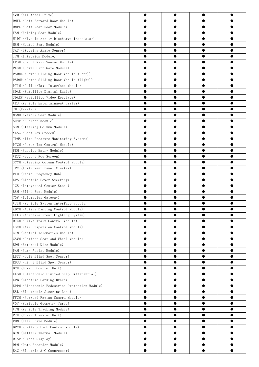| AWD (All Wheel Drive)                          | $\bullet$ | $\bullet$              | $\bullet$ | $\bullet$              |  |
|------------------------------------------------|-----------|------------------------|-----------|------------------------|--|
| DMFL (Left Forward Door Module)                |           | $\bullet$              | $\bullet$ |                        |  |
| DMRL (Left Rear Door Module)                   |           | $\bullet$              | $\bullet$ | 0                      |  |
| FSM (Folding Seat Module)                      |           | $\bullet$              | 0         | $\bullet$              |  |
| HIDT (High Intensity Discharge Translator)     |           |                        |           |                        |  |
| HSM (Heated Seat Module)                       | $\bullet$ | $\bullet$              | $\bullet$ | $\bullet$              |  |
| SAS (Steering Angle Sensor)                    |           | $\bullet$              | $\bullet$ | 0                      |  |
| ITM (Intrusion Module)                         |           | $\bullet$              |           | 0                      |  |
| LRSM (Light Rain Sensor Module)                |           |                        |           |                        |  |
| PLGM (Power Lift Gate Module)                  |           |                        | $\bullet$ | $\bullet$              |  |
|                                                |           | $\bullet$              |           | $\bullet$              |  |
| PSDML (Power Sliding Door Module (Left))       |           | $\bullet$              |           | $\bullet$              |  |
| PSDMR (Power Sliding Door Module (Right))      |           | $\bullet$              |           |                        |  |
| PTIM (Police/Taxi Interface Module)            |           | $\bullet$              |           | 0                      |  |
| SDAR (Satellite Digital Radio)                 | $\bullet$ | $\bullet$              | $\bullet$ | $\bullet$              |  |
| SDARV (Satellite Video Receiver)               | ●         | $\bullet$              | $\bullet$ | 0                      |  |
| VES (Vehicle Entertainment System)             |           | $\bullet$              |           | 0                      |  |
| TM (Trailer)                                   |           |                        |           |                        |  |
| MSMD (Memory Seat Module)                      |           | $\bullet$              | $\bullet$ | $\bullet$              |  |
| SUNR (Sunroof Module)                          |           | $\bullet$              | 0         | 0                      |  |
| SCM (Steering Column Module)                   |           | $\bullet$              | $\bullet$ | $\bullet$              |  |
| VES3 (Last Row Srceem)                         | 0         | $\bullet$              |           | $\bullet$              |  |
| TPMS (Tire Pressure Monitoring Systems)        | $\bullet$ | $\bullet$              | $\bullet$ | $\bullet$              |  |
| PTCM (Power Top Control Module)                |           | $\bullet$              |           | 0                      |  |
| PEM (Passive Entry Module)                     |           | $\bullet$              |           | ●                      |  |
| VES2 (Second Row Screen)                       |           |                        |           |                        |  |
| SCCM (Steering Column Control Module)          | $\bullet$ | $\bullet$              | $\bullet$ | $\bullet$              |  |
| IPC (Instrument Panel Cluster)                 |           | $\bullet$              | $\bullet$ |                        |  |
| RFH (Radio Frequency Hub)                      |           | $\bullet$              |           | $\bullet$              |  |
| EPS (Electric Power Steering)                  | 0         | $\bullet$              | $\bullet$ | $\bullet$              |  |
| ICS (Integrated Center Stack)                  | $\bullet$ | $\bullet$              | $\bullet$ | $\bullet$              |  |
| BSM (Blind Spot Module)                        |           |                        |           | 0                      |  |
| TGW (Telematics Gateway)                       |           |                        |           | 0                      |  |
| VSIM (Vehicle System Interface Module)         |           |                        |           |                        |  |
| ADCM (Active Damping Control Module)           |           |                        |           |                        |  |
| AFLS (Adaptive Front Lighting System)          |           |                        |           |                        |  |
| DTCM (Drive Train Control Module)              |           | $\bullet$              |           | 0                      |  |
| ASCM (Air Suspension Control Module)           |           |                        |           | 0                      |  |
| CTM (Central Telematics Module)                | ●         | $\bullet$              | ●         | $\bullet$              |  |
| CSWM (Comfort Seat And Wheel Module)           |           | $\bullet$              | $\bullet$ | $\bullet$              |  |
| EDM (External Disc Module)                     |           | $\bullet$              | $\bullet$ | $\bullet$              |  |
| PAM (Park Assist Module)                       | 0         | $\bullet$              | $\bullet$ | $\bullet$              |  |
| LBSS (Left Blind Spot Sensor)                  | $\bullet$ | $\bullet$              | $\bullet$ | $\bullet$              |  |
| RBSS (Right Blind Spot Sensor)                 |           | $\bullet$              | $\bullet$ | $\bullet$              |  |
| DCU (Dosing Control Unit)                      |           | $\bullet$              |           | $\bullet$              |  |
|                                                |           |                        |           | 0                      |  |
| ELSD (Electronic Limited Slip Differential)    | ●         |                        | $\bullet$ |                        |  |
| EPB (Electric Parking Brake)                   |           | $\bullet$<br>$\bullet$ | $\bullet$ | $\bullet$<br>$\bullet$ |  |
| EPPM (Electronic Pedestrian Protection Module) |           |                        |           |                        |  |
| ESL (Electronic Steering Lock)                 | ●         | $\bullet$              | $\bullet$ | $\bullet$              |  |
| FFCM (Forward Facing Camera Module)            |           | $\bullet$              | $\bullet$ | $\bullet$              |  |
| VGT (Variable Geometry Turbo)                  | $\bullet$ | $\bullet$              | $\bullet$ | $\bullet$              |  |
| VTM (Vehicle Tracking Module)                  | ●         | $\bullet$              | $\bullet$ | $\bullet$              |  |
| PTU (Power Transfer Unit)                      |           |                        |           | $\bullet$              |  |
| RDM (Rear Drive Module)                        |           |                        |           | $\bullet$              |  |
| BPCM (Battery Pack Control Module)             | ●         | $\bullet$              | $\bullet$ | $\bullet$              |  |
| BTM (Battery Thermal Module)                   |           | $\bullet$              | $\bullet$ | $\bullet$              |  |
| DISP (Front Display)                           | ●         | $\bullet$              | $\bullet$ | $\bullet$              |  |
| DRM (Data Recorder Module)                     |           | $\bullet$              | $\bullet$ | $\bullet$              |  |
| EAC (Electric A/C Compressor)                  | $\bullet$ | $\bullet$              | $\bullet$ | $\bullet$              |  |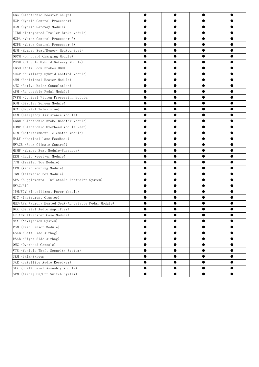| EBG (Electronic Booster Gauge)                       | $\bullet$ | $\bullet$ | $\bullet$ |           |
|------------------------------------------------------|-----------|-----------|-----------|-----------|
| HCP (Hybrid Control Processor)                       |           | $\bullet$ | $\bullet$ | ●         |
| HGM (Hybrid Gateway Module)                          |           | $\bullet$ |           | ●         |
| ITBM (Integrated Trailer Brake Module)               |           | $\bullet$ | 0         | ●         |
| MCPA (Motor Control Processor A)                     |           | $\bullet$ | $\bullet$ | $\bullet$ |
| MCPB (Motor Control Processor B)                     |           | $\bullet$ | ●         | ●         |
| MSM (Memory Seat/Memory Heated Seat)                 |           | $\bullet$ |           | ●         |
| OBCM (On Board Charging Module)                      |           |           |           |           |
| PHGM (Plug In Hybrid Gateway Module)                 |           |           |           | $\bullet$ |
| ABSO (Anti Lock Brakes OBD)                          |           | $\bullet$ | ●         | ●         |
| AHCP (Auxiliary Hybrid Control Module)               |           |           |           | ●         |
| AHM (Additional Heater Module)                       |           | $\bullet$ | $\bullet$ | 0         |
| ANC (Active Noise Cancelation)                       |           | $\bullet$ | ●         | $\bullet$ |
| APM (Adjustable Pedal Module)                        |           | $\bullet$ | $\bullet$ | $\bullet$ |
| CVPM (Central Vision Processing Module)              |           | ●         |           | ●         |
| DSM (Display Screen Module)                          |           |           |           |           |
| DTV (Digital Television)                             |           |           |           | $\bullet$ |
| EAM (Emergency Assistance Module)                    |           | $\bullet$ |           | $\bullet$ |
| EBBM (Electronic Brake Booster Module)               |           | $\bullet$ |           | ●         |
| EOMR (Electronic Overhead Module Rear)               |           | $\bullet$ | $\bullet$ | 0         |
| ETM (Entertainment Telematic Module)                 |           | $\bullet$ | $\bullet$ | $\bullet$ |
| HALF (Haptical Lane Feedback)                        |           | $\bullet$ | ●         | ●         |
| HVACR (Rear Climate Control)                         |           |           |           |           |
| MSMP (Memory Seat Module-Passager)                   |           |           |           |           |
| RRM (Radio Receiver Module)                          |           |           |           | ●         |
| TTM (Trailer Tow Module)                             |           | $\bullet$ | 0         | $\bullet$ |
| VRM (Video Routing Module)                           |           | $\bullet$ |           | ●         |
| TBM (Telematic Box Module)                           |           | $\bullet$ | $\bullet$ | 0         |
| SRS (Supplemental Inflatable Restraint System)       |           | $\bullet$ | ●         | $\bullet$ |
| HVAC/ATC                                             |           | $\bullet$ |           | ●         |
| IPM/FCM (Intelligent Power Module)                   |           |           |           | ●         |
| MIC (Instrument Cluster)                             |           |           |           |           |
| MHS/APM (Memory Heated Seat/Adjustable Pedal Module) |           |           |           | ●         |
| DAA (Digital Audio Amplifier)                        |           |           |           |           |
| AT-XCM (Transfer Case Module)                        |           |           |           |           |
| NAV (NAVigation System)                              |           | $\bullet$ |           | 0         |
| RSM (Rain Sensor Module)                             |           |           |           | $\bullet$ |
| LSAB (Left Side Airbag)                              | ●         | $\bullet$ | 0         | $\bullet$ |
| RSAB (Right Side Airbag)                             |           | $\bullet$ | 0         | $\bullet$ |
| OHC (Overhead Console)                               | 0         | $\bullet$ | $\bullet$ | $\bullet$ |
| VTS (Vehicle Theft Security System)                  | ●         | $\bullet$ | $\bullet$ | $\bullet$ |
| SKM (SKIM-Skreem)                                    | $\bullet$ | $\bullet$ | $\bullet$ | $\bullet$ |
| SAR (Satellite Audio Receiver)                       |           | $\bullet$ | ●         | $\bullet$ |
| SLA (Shift Level Assembly Module)                    |           | $\bullet$ |           | $\bullet$ |
| SRM (Airbag On/Off Switch System)                    | ●         | $\bullet$ | $\bullet$ | $\bullet$ |
|                                                      |           |           |           |           |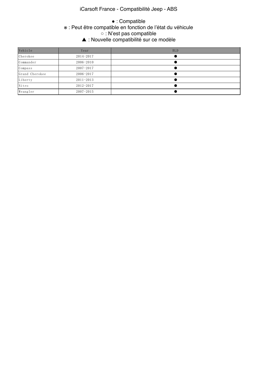## iCarsoft France - Compatibilité Jeep - ABS

#### were the company of the company of  $\ast$  function is the company of  $\ast$  $\alpha \cdot N'$ est nas comnatible.  $\blacktriangle$   $\cdot$  Nouvelle co ● : Compatible ※ : Peut être compatible en fonction de l'état du véhicule ○ : N'est pas compatible ▲ : Nouvelle compatibilité sur ce modèle

| Vehicle        | Year          | <b>BLD</b> |
|----------------|---------------|------------|
| Cherokee       | 2014-2017     |            |
| Commander      | 2006-2010     |            |
| Compass        | $2007 - 2017$ |            |
| Grand Cherokee | 2006-2017     |            |
| Liberty        | $2011 - 2013$ |            |
| Nitro          | $2012 - 2017$ |            |
| Wrangler       | $2007 - 2015$ |            |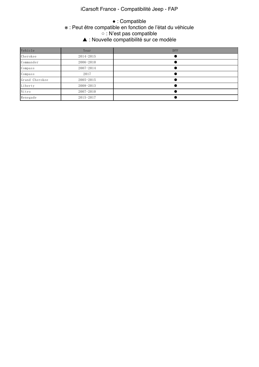## iCarsoft France - Compatibilité Jeep - FAP

#### web Peut être compati  $\sim$   $\cdot$  N'est nas comnatible. △ This function is not supported. The support of the support of the support of the support of the support of the support of the support of the support of the support of the support of the support of the support of the sup ● : Compatible ※ : Peut être compatible en fonction de l'état du véhicule ○ : N'est pas compatible ▲ : Nouvelle compatibilité sur ce modèle

| Vehicle        | Year          | <b>DPF</b> |
|----------------|---------------|------------|
| Cherokee       | $2014 - 2015$ |            |
| Commander      | 2006-2010     |            |
| Compass        | 2007-2014     |            |
| Compass        | 2017          |            |
| Grand Cherokee | $2005 - 2015$ |            |
| Liberty        | $2008 - 2013$ |            |
| Nitro          | $2007 - 2010$ |            |
| Renegade       | 2015-2017     |            |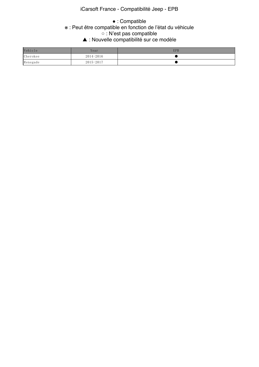## iCarsoft France - Compatibilité Jeep - EPB

#### e This function is the function in the community  $\ast$  . Peut être community  $\alpha \cdot N'$ est nas comnatible.  $\blacktriangle$   $\cdot$  Nouvelle com ● : Compatible ※ : Peut être compatible en fonction de l'état du véhicule ○ : N'est pas compatible ▲ : Nouvelle compatibilité sur ce modèle

| Vehicle  | Year      | <b>EPB</b> |
|----------|-----------|------------|
| Cherokee | 2014-2016 |            |
| Renegade | 2015-2017 |            |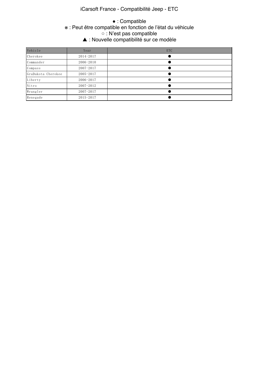## iCarsoft France - Compatibilité Jeep - ETC

#### e The This function is the compatible is the compatible  $\alpha \cdot N'$ est nas comnatible. Which depends on the vehicle  $\alpha$  $\blacktriangle$   $\cdot$  Nouvelle comp ● : Compatible ※ : Peut être compatible en fonction de l'état du véhicule ○ : N'est pas compatible ▲ : Nouvelle compatibilité sur ce modèle

| Vehicle            | Year          | <b>ETC</b> |
|--------------------|---------------|------------|
| Cherokee           | 2014-2017     |            |
| Commander          | 2006-2010     |            |
| Compass            | $2007 - 2017$ |            |
| GraDakota Cherokee | $2005 - 2017$ |            |
| Liberty            | 2006-2017     |            |
| Nitro              | $2007 - 2012$ |            |
| Wrangler           | $2007 - 2017$ |            |
| Renegade           | $2015 - 2017$ |            |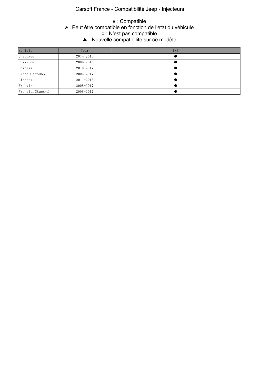## iCarsoft France - Compatibilité Jeep - Injecteurs

#### e This function is the Search in the Compa  $\alpha \cdot N'$ est nas comnatible. △ : Nouvelle compatibilité sur ce modèle ● : Compatible ※ : Peut être compatible en fonction de l'état du véhicule ○ : N'est pas compatible

| Vehicle           | Year          | INJ |
|-------------------|---------------|-----|
| Cherokee          | $2014 - 2015$ |     |
| Commander         | 2006-2010     |     |
| Compass           | $2010 - 2017$ |     |
| Grand Cherokee    | $2005 - 2017$ |     |
| Liberty           | $2011 - 2013$ |     |
| Wrangler          | 2008-2017     |     |
| Wrangler (Export) | 2008-2017     |     |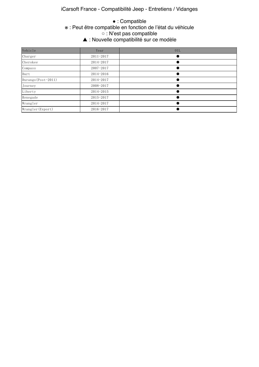### iCarsoft France - Compatibilité Jeep - Entretiens / Vidanges

#### were the compation is the function is supported. The compati  $\alpha \cdot \mathsf{N}'$ est nas comnatible. △ : Nouvelle compatibilité sur ce modèle ● : Compatible ※ : Peut être compatible en fonction de l'état du véhicule ○ : N'est pas compatible

| Vehicle             | Year          | 0IL |
|---------------------|---------------|-----|
| Charger             | $2011 - 2017$ |     |
| Cherokee            | 2014-2017     |     |
| Compass             | $2007 - 2017$ |     |
| Dart                | 2014-2016     |     |
| Durango (Post-2011) | 2014-2017     |     |
| Journey             | 2008-2017     |     |
| Liberty             | 2014-2015     |     |
| Renegade            | $2015 - 2017$ |     |
| Wrangler            | 2014-2017     |     |
| Wrangler (Export)   | 2016-2017     |     |